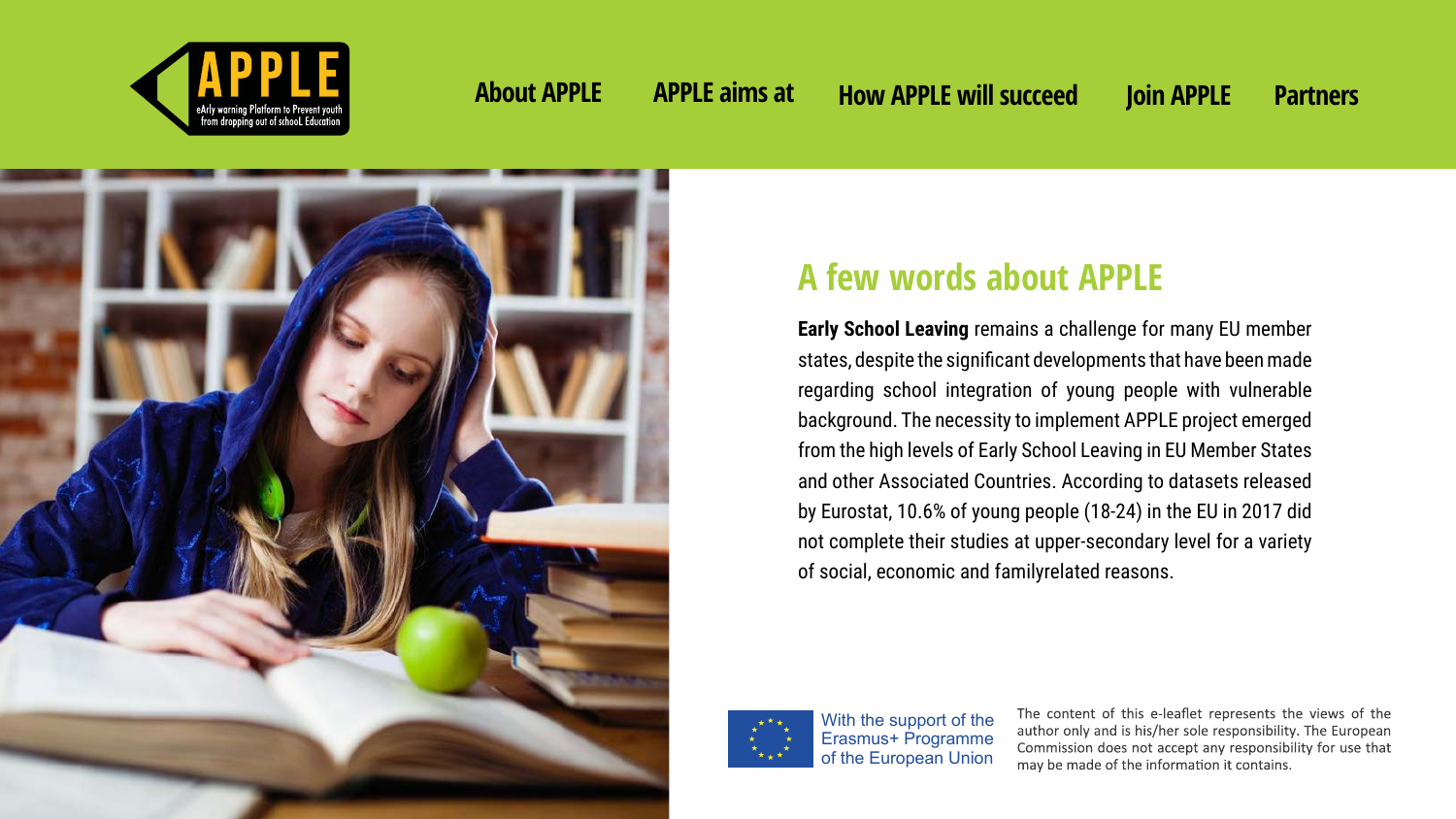**Early School Leaving** remains a challenge for many EU member states, despite the significant developments that have been made regarding school integration of young people with vulnerable background. The necessity to implement APPLE project emerged from the high levels of Early School Leaving in EU Member States and other Associated Countries. According to datasets released by Eurostat, 10.6% of young people (18-24) in the EU in 2017 did not complete their studies at upper-secondary level for a variety of social, economic and familyrelated reasons.



# **A few words about APPLE**





With the support of the Erasmus+ Programme of the European Union

The content of this e-leaflet represents the views of the author only and is his/her sole responsibility. The European Commission does not accept any responsibility for use that may be made of the information it contains.

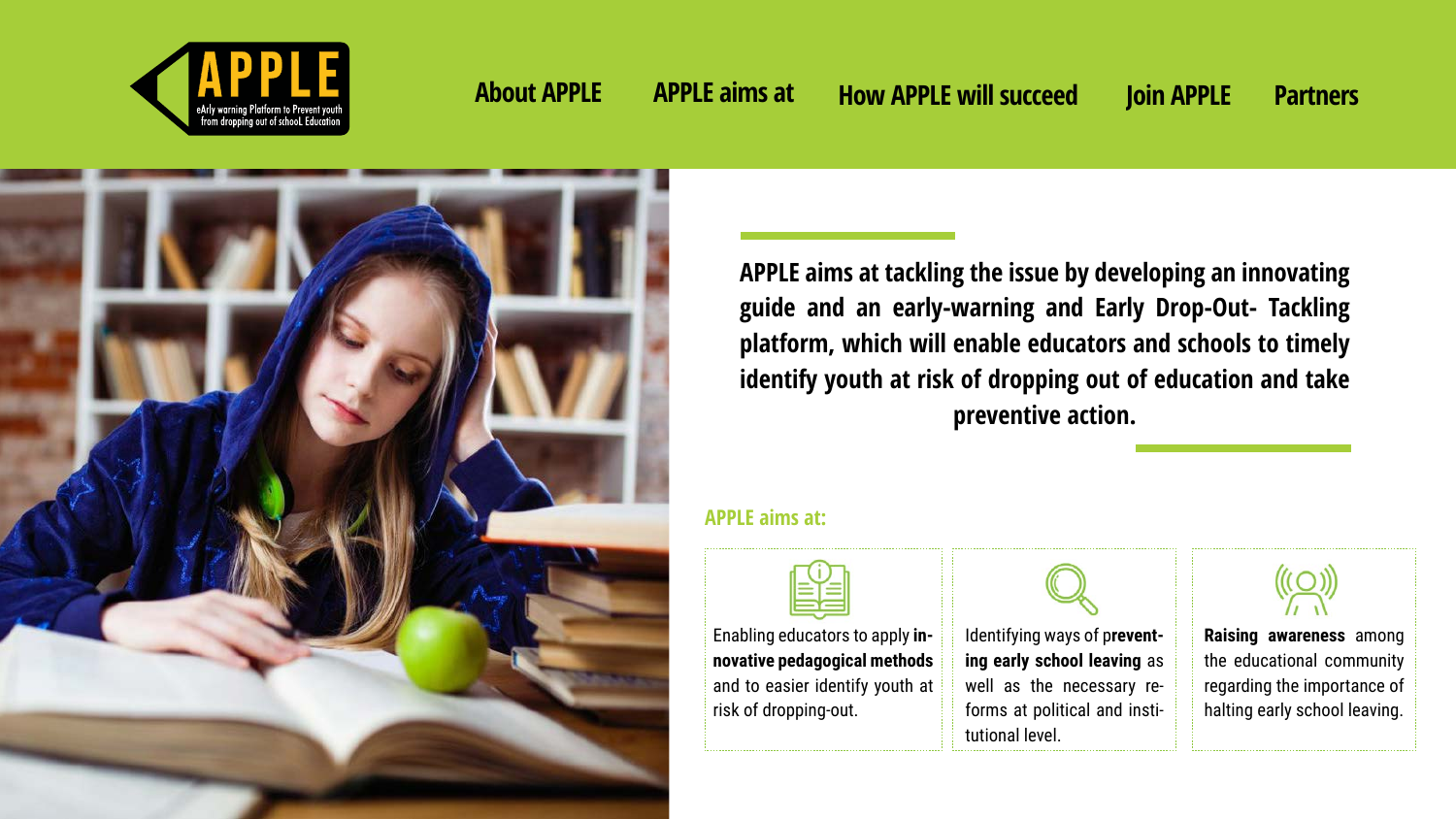**APPLE aims at tackling the issue by developing an innovating guide and an early-warning and Early Drop-Out- Tackling platform, which will enable educators and schools to timely identify youth at risk of dropping out of education and take preventive action.**

Enabling educators to apply **innovative pedagogical methods** and to easier identify youth at

risk of dropping-out.

Identifying ways of p**reventing early school leaving** as well as the necessary reforms at political and institutional level.



**Raising awareness** among the educational community regarding the importance of halting early school leaving.



### **APPLE aims at:**





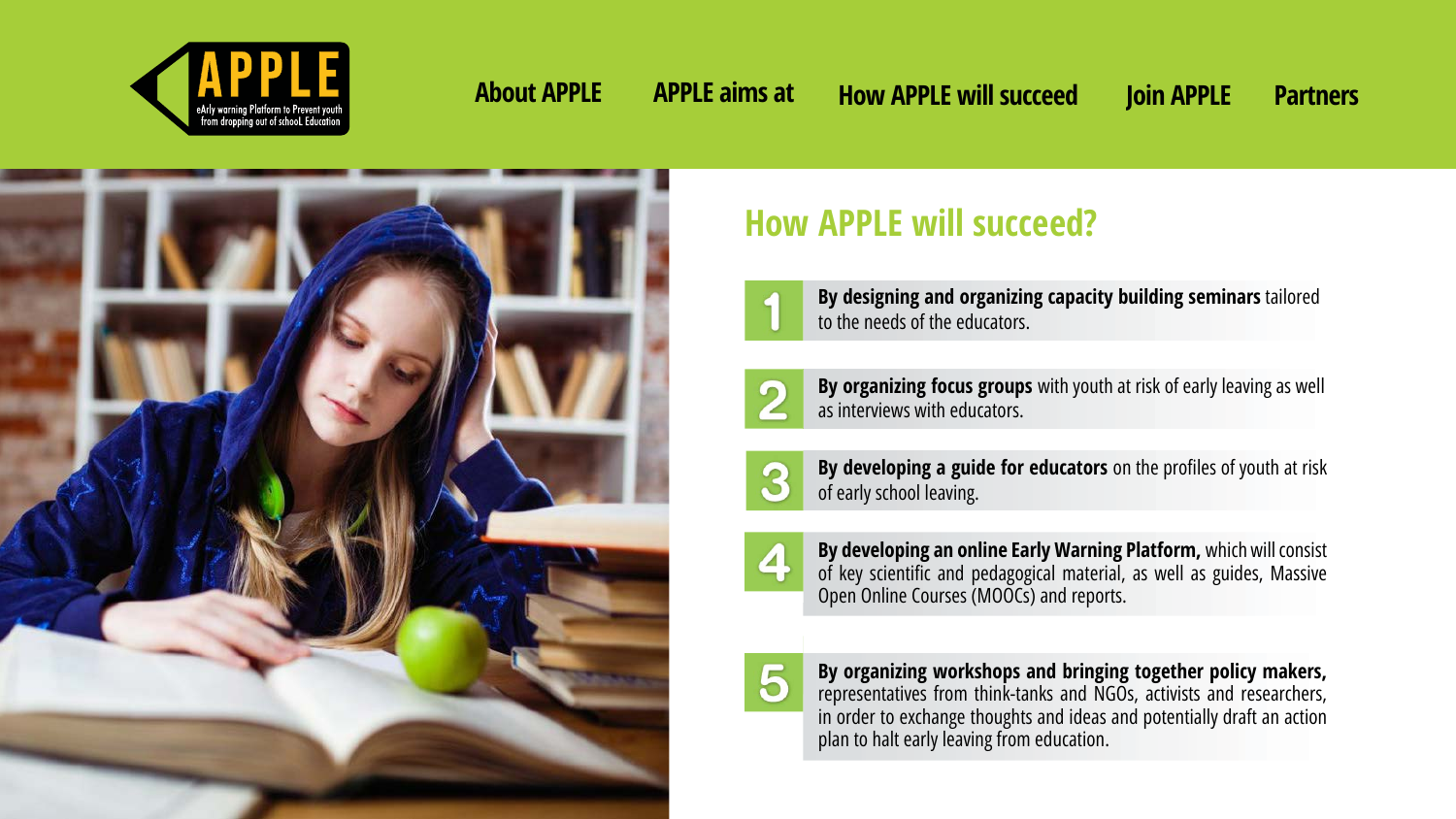# **How APPLE will succeed?**



**By designing and organizing capacity building seminars** tailored to the needs of the educators.



**By organizing focus groups** with youth at risk of early leaving as well as interviews with educators.



**By developing a guide for educators** on the profiles of youth at risk of early school leaving.



**By developing an online Early Warning Platform,** which will consist of key scientific and pedagogical material, as well as guides, Massive Open Online Courses (MOOCs) and reports.



**By organizing workshops and bringing together policy makers,**  representatives from think-tanks and NGOs, activists and researchers, in order to exchange thoughts and ideas and potentially draft an action plan to halt early leaving from education.





**About APPLE APPLE aims at How APPLE will succeed Join APPLE Partners**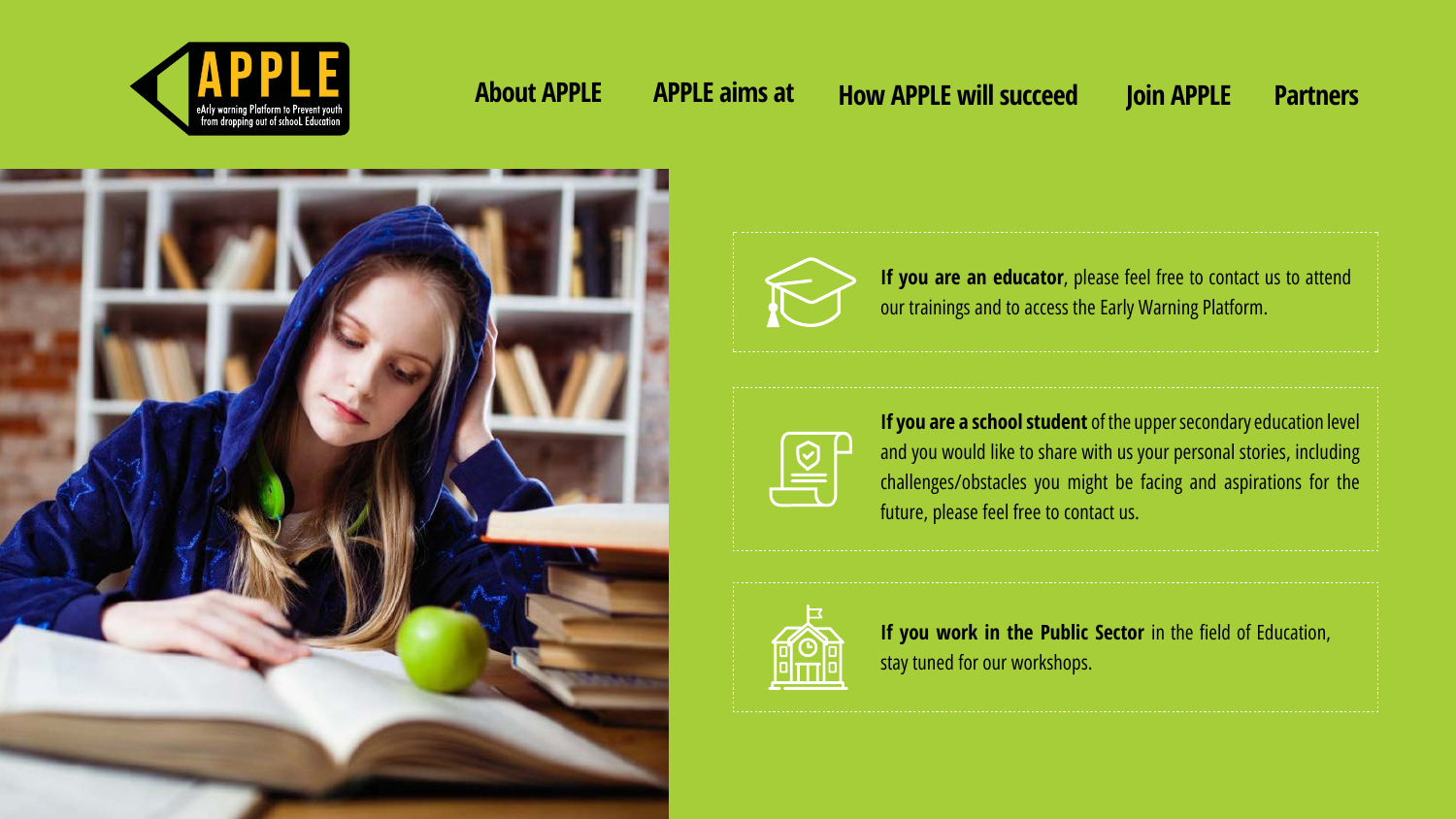**If you are an educator**, please feel free to contact us to attend our trainings and to access the Early Warning Platform.



If you work in the Public Sector in the field of Education, stay tuned for our workshops.

|  | "我们的人,我们的人,我们的人,我们的人,我们的人,我们的人。"        |
|--|-----------------------------------------|
|  | 医皮肤性 医阿拉伯氏试验检尿酸盐 医阿拉伯氏试验检尿道检尿道检尿道检尿道检尿道 |
|  | 医皮肤性 医皮肤性 医皮肤性 医生物性 医生物性 医生物性 医生物学      |

**If you are a school student** of the upper secondary education level and you would like to share with us your personal stories, including challenges/obstacles you might be facing and aspirations for the future, please feel free to contact us.